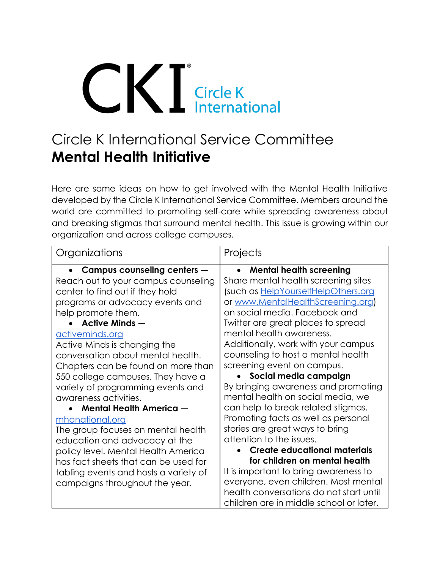# **CICIER Circle K**<br> **Circle K**<br> **International**

## Circle K International Service Committee **Mental Health Initiative**

Here are some ideas on how to get involved with the Mental Health Initiative developed by the Circle K International Service Committee. Members around the world are committed to promoting self-care while spreading awareness about and breaking stigmas that surround mental health. This issue is growing within our organization and across college campuses.

| Organizations                                                                                                                                                                                                                                                                                                                                                                                                                                                                                                                                                                                                                                                                  | Projects                                                                                                                                                                                                                                                                                                                                                                                                                                                                                                                                                                                                                                                                                                                                                                               |
|--------------------------------------------------------------------------------------------------------------------------------------------------------------------------------------------------------------------------------------------------------------------------------------------------------------------------------------------------------------------------------------------------------------------------------------------------------------------------------------------------------------------------------------------------------------------------------------------------------------------------------------------------------------------------------|----------------------------------------------------------------------------------------------------------------------------------------------------------------------------------------------------------------------------------------------------------------------------------------------------------------------------------------------------------------------------------------------------------------------------------------------------------------------------------------------------------------------------------------------------------------------------------------------------------------------------------------------------------------------------------------------------------------------------------------------------------------------------------------|
| Campus counseling centers $-$<br>Reach out to your campus counseling<br>center to find out if they hold<br>programs or advocacy events and<br>help promote them.<br>Active Minds —<br>activeminds.org<br>Active Minds is changing the<br>conversation about mental health.<br>Chapters can be found on more than<br>550 college campuses. They have a<br>variety of programming events and<br>awareness activities.<br><b>Mental Health America -</b><br><u>mhanational.org</u><br>The group focuses on mental health<br>education and advocacy at the<br>policy level. Mental Health America<br>has fact sheets that can be used for<br>tabling events and hosts a variety of | <b>Mental health screening</b><br>$\bullet$<br>Share mental health screening sites<br>(such as HelpYourselfHelpOthers.org<br>or www.MentalHealthScreening.org)<br>on social media. Facebook and<br>Twitter are great places to spread<br>mental health awareness.<br>Additionally, work with your campus<br>counseling to host a mental health<br>screening event on campus.<br>Social media campaign<br>By bringing awareness and promoting<br>mental health on social media, we<br>can help to break related stigmas.<br>Promoting facts as well as personal<br>stories are great ways to bring<br>attention to the issues.<br><b>Create educational materials</b><br>for children on mental health<br>It is important to bring awareness to<br>everyone, even children. Most mental |
| campaigns throughout the year.                                                                                                                                                                                                                                                                                                                                                                                                                                                                                                                                                                                                                                                 | health conversations do not start until<br>children are in middle school or later.                                                                                                                                                                                                                                                                                                                                                                                                                                                                                                                                                                                                                                                                                                     |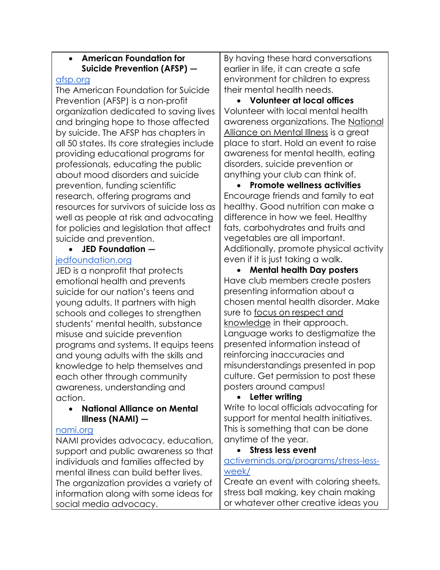| <b>American Foundation for</b> |                             |
|--------------------------------|-----------------------------|
|                                | Suicide Prevention (AFSP) - |
|                                | cn ara                      |

#### [afsp.org](https://afsp.org/)

[The American Foundation for Suicide](https://afsp.org/)  [Prevention](https://afsp.org/) (AFSP) is a non-profit organization dedicated to saving lives and bringing hope to those affected by [suicide.](https://www.verywellmind.com/why-do-people-commit-suicide-1067515) The AFSP has chapters in all 50 states. Its core strategies include providing educational programs for professionals, educating the public about [mood disorders](https://www.verywellmind.com/mood-disorder-1067175) and suicide prevention, funding scientific research, offering programs and resources for survivors of suicide loss as well as people at risk and [advocating](https://afsp.org/our-work/advocacy/become-an-advocate/) for policies and legislation that affect suicide and prevention.

### • **JED Foundation —**

#### [jedfoundation.org](https://www.jedfoundation.org/)

JED is a nonprofit that protects emotional health and prevents suicide for our nation's teens and young adults. It partners with high schools and colleges to strengthen students' mental health, substance misuse and suicide prevention programs and systems. It equips teens and young adults with the skills and knowledge to help themselves and each other through community awareness, understanding and action.

#### • **National Alliance on Mental Illness (NAMI) —**

#### [nami.org](https://www.nami.org/)

NAMI provides advocacy, education, support and public awareness so that individuals and families affected by mental illness can build better lives. The organization provides a variety of information along with some ideas for social media advocacy.

By having these hard conversations earlier in life, it can create a safe environment for children to express their mental health needs.

• **Volunteer at local offices** Volunteer with local mental health awareness organizations. The [National](http://www.nami.org/Get-Involved/Volunteer-at-NAMI)  [Alliance on Mental Illness](http://www.nami.org/Get-Involved/Volunteer-at-NAMI) is a great place to start. Hold an event to raise awareness for mental health, eating disorders, suicide prevention or anything your club can think of.

• **Promote wellness activities** Encourage friends and family to eat healthy. Good nutrition can make a difference in how we feel. Healthy fats, carbohydrates and fruits and vegetables are all important. Additionally, promote physical activity even if it is just taking a walk.

• **Mental health Day posters** Have club members create posters presenting information about a chosen mental health disorder. Make sure to [focus on respect and](https://everfi.com/insights/blog/3-mental-health-projects-for-students/)  [knowledge](https://everfi.com/insights/blog/3-mental-health-projects-for-students/) in their approach. Language works to destigmatize the presented information instead of reinforcing inaccuracies and misunderstandings presented in pop culture. Get permission to post these posters around campus!

#### • **Letter writing**

Write to local officials advocating for support for mental health initiatives. This is something that can be done anytime of the year.

#### • **Stress less event**

[activeminds.org/programs/stress-less](https://www.activeminds.org/programs/stress-less-week/)[week/](https://www.activeminds.org/programs/stress-less-week/)

Create an event with coloring sheets, stress ball making, key chain making or whatever other creative ideas you